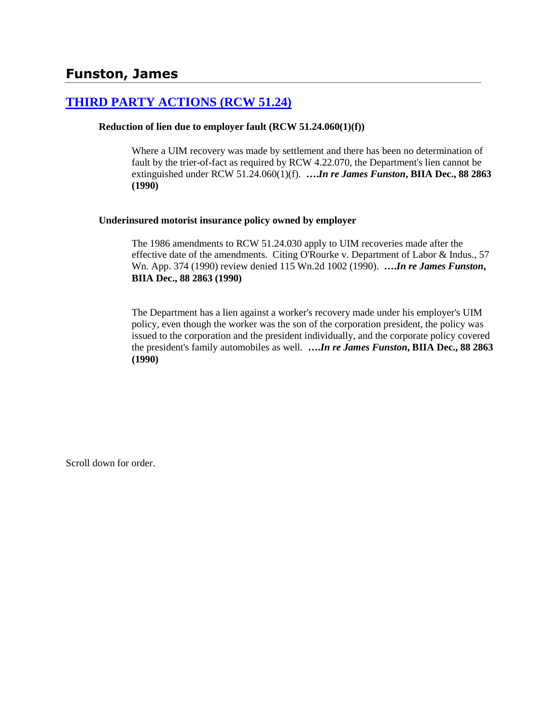## **[THIRD PARTY ACTIONS \(RCW 51.24\)](http://www.biia.wa.gov/SDSubjectIndex.html#THIRD_PARTY_ACTIONS)**

### **Reduction of lien due to employer fault (RCW 51.24.060(1)(f))**

Where a UIM recovery was made by settlement and there has been no determination of fault by the trier-of-fact as required by RCW 4.22.070, the Department's lien cannot be extinguished under RCW 51.24.060(1)(f). **….***In re James Funston***, BIIA Dec., 88 2863 (1990)** 

### **Underinsured motorist insurance policy owned by employer**

The 1986 amendments to RCW 51.24.030 apply to UIM recoveries made after the effective date of the amendments. Citing O'Rourke v. Department of Labor & Indus., 57 Wn. App. 374 (1990) review denied 115 Wn.2d 1002 (1990). **….***In re James Funston***, BIIA Dec., 88 2863 (1990)** 

The Department has a lien against a worker's recovery made under his employer's UIM policy, even though the worker was the son of the corporation president, the policy was issued to the corporation and the president individually, and the corporate policy covered the president's family automobiles as well. **….***In re James Funston***, BIIA Dec., 88 2863 (1990)** 

Scroll down for order.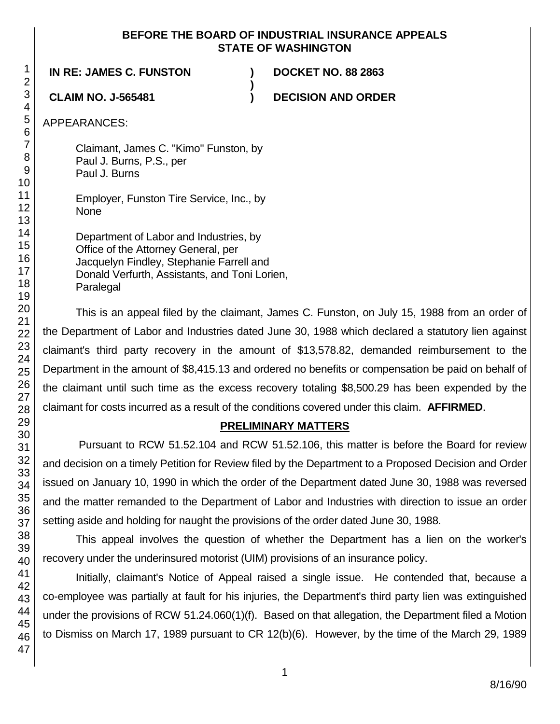### **BEFORE THE BOARD OF INDUSTRIAL INSURANCE APPEALS STATE OF WASHINGTON**

**)**

**IN RE: JAMES C. FUNSTON ) DOCKET NO. 88 2863**

**CLAIM NO. J-565481 ) DECISION AND ORDER**

APPEARANCES:

Claimant, James C. "Kimo" Funston, by Paul J. Burns, P.S., per Paul J. Burns

Employer, Funston Tire Service, Inc., by None

Department of Labor and Industries, by Office of the Attorney General, per Jacquelyn Findley, Stephanie Farrell and Donald Verfurth, Assistants, and Toni Lorien, Paralegal

This is an appeal filed by the claimant, James C. Funston, on July 15, 1988 from an order of the Department of Labor and Industries dated June 30, 1988 which declared a statutory lien against claimant's third party recovery in the amount of \$13,578.82, demanded reimbursement to the Department in the amount of \$8,415.13 and ordered no benefits or compensation be paid on behalf of the claimant until such time as the excess recovery totaling \$8,500.29 has been expended by the claimant for costs incurred as a result of the conditions covered under this claim. **AFFIRMED**.

# **PRELIMINARY MATTERS**

Pursuant to RCW 51.52.104 and RCW 51.52.106, this matter is before the Board for review and decision on a timely Petition for Review filed by the Department to a Proposed Decision and Order issued on January 10, 1990 in which the order of the Department dated June 30, 1988 was reversed and the matter remanded to the Department of Labor and Industries with direction to issue an order setting aside and holding for naught the provisions of the order dated June 30, 1988.

This appeal involves the question of whether the Department has a lien on the worker's recovery under the underinsured motorist (UIM) provisions of an insurance policy.

Initially, claimant's Notice of Appeal raised a single issue. He contended that, because a co-employee was partially at fault for his injuries, the Department's third party lien was extinguished under the provisions of RCW 51.24.060(1)(f). Based on that allegation, the Department filed a Motion to Dismiss on March 17, 1989 pursuant to CR 12(b)(6). However, by the time of the March 29, 1989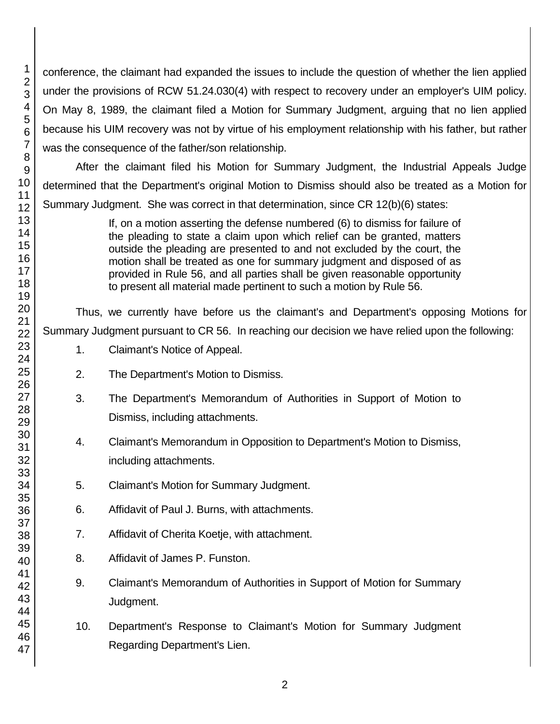conference, the claimant had expanded the issues to include the question of whether the lien applied under the provisions of RCW 51.24.030(4) with respect to recovery under an employer's UIM policy. On May 8, 1989, the claimant filed a Motion for Summary Judgment, arguing that no lien applied because his UIM recovery was not by virtue of his employment relationship with his father, but rather was the consequence of the father/son relationship.

After the claimant filed his Motion for Summary Judgment, the Industrial Appeals Judge determined that the Department's original Motion to Dismiss should also be treated as a Motion for Summary Judgment. She was correct in that determination, since CR 12(b)(6) states:

> If, on a motion asserting the defense numbered (6) to dismiss for failure of the pleading to state a claim upon which relief can be granted, matters outside the pleading are presented to and not excluded by the court, the motion shall be treated as one for summary judgment and disposed of as provided in Rule 56, and all parties shall be given reasonable opportunity to present all material made pertinent to such a motion by Rule 56.

Thus, we currently have before us the claimant's and Department's opposing Motions for Summary Judgment pursuant to CR 56. In reaching our decision we have relied upon the following:

- 1. Claimant's Notice of Appeal.
- 2. The Department's Motion to Dismiss.
- 3. The Department's Memorandum of Authorities in Support of Motion to Dismiss, including attachments.
- 4. Claimant's Memorandum in Opposition to Department's Motion to Dismiss, including attachments.
- 5. Claimant's Motion for Summary Judgment.
- 6. Affidavit of Paul J. Burns, with attachments.
- 7. Affidavit of Cherita Koetje, with attachment.
- 8. Affidavit of James P. Funston.
- 9. Claimant's Memorandum of Authorities in Support of Motion for Summary Judgment.
- 10. Department's Response to Claimant's Motion for Summary Judgment Regarding Department's Lien.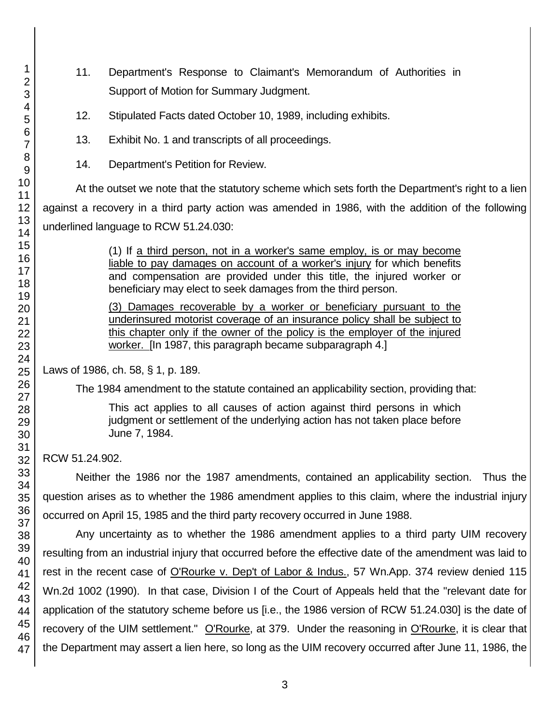- 11. Department's Response to Claimant's Memorandum of Authorities in Support of Motion for Summary Judgment.
- 12. Stipulated Facts dated October 10, 1989, including exhibits.
- 13. Exhibit No. 1 and transcripts of all proceedings.
- 14. Department's Petition for Review.

At the outset we note that the statutory scheme which sets forth the Department's right to a lien against a recovery in a third party action was amended in 1986, with the addition of the following underlined language to RCW 51.24.030:

> (1) If a third person, not in a worker's same employ, is or may become liable to pay damages on account of a worker's injury for which benefits and compensation are provided under this title, the injured worker or beneficiary may elect to seek damages from the third person.

> (3) Damages recoverable by a worker or beneficiary pursuant to the underinsured motorist coverage of an insurance policy shall be subject to this chapter only if the owner of the policy is the employer of the injured worker. [In 1987, this paragraph became subparagraph 4.]

Laws of 1986, ch. 58, § 1, p. 189.

The 1984 amendment to the statute contained an applicability section, providing that:

This act applies to all causes of action against third persons in which judgment or settlement of the underlying action has not taken place before June 7, 1984.

RCW 51.24.902.

Neither the 1986 nor the 1987 amendments, contained an applicability section. Thus the question arises as to whether the 1986 amendment applies to this claim, where the industrial injury occurred on April 15, 1985 and the third party recovery occurred in June 1988.

Any uncertainty as to whether the 1986 amendment applies to a third party UIM recovery resulting from an industrial injury that occurred before the effective date of the amendment was laid to rest in the recent case of O'Rourke v. Dep't of Labor & Indus., 57 Wn.App. 374 review denied 115 Wn.2d 1002 (1990). In that case, Division I of the Court of Appeals held that the "relevant date for application of the statutory scheme before us [i.e., the 1986 version of RCW 51.24.030] is the date of recovery of the UIM settlement." O'Rourke, at 379. Under the reasoning in O'Rourke, it is clear that the Department may assert a lien here, so long as the UIM recovery occurred after June 11, 1986, the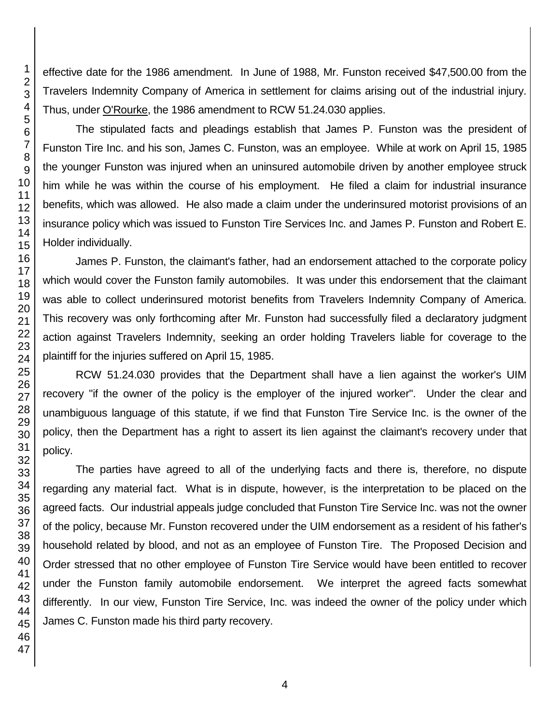effective date for the 1986 amendment. In June of 1988, Mr. Funston received \$47,500.00 from the Travelers Indemnity Company of America in settlement for claims arising out of the industrial injury. Thus, under O'Rourke, the 1986 amendment to RCW 51.24.030 applies.

The stipulated facts and pleadings establish that James P. Funston was the president of Funston Tire Inc. and his son, James C. Funston, was an employee. While at work on April 15, 1985 the younger Funston was injured when an uninsured automobile driven by another employee struck him while he was within the course of his employment. He filed a claim for industrial insurance benefits, which was allowed. He also made a claim under the underinsured motorist provisions of an insurance policy which was issued to Funston Tire Services Inc. and James P. Funston and Robert E. Holder individually.

James P. Funston, the claimant's father, had an endorsement attached to the corporate policy which would cover the Funston family automobiles. It was under this endorsement that the claimant was able to collect underinsured motorist benefits from Travelers Indemnity Company of America. This recovery was only forthcoming after Mr. Funston had successfully filed a declaratory judgment action against Travelers Indemnity, seeking an order holding Travelers liable for coverage to the plaintiff for the injuries suffered on April 15, 1985.

RCW 51.24.030 provides that the Department shall have a lien against the worker's UIM recovery "if the owner of the policy is the employer of the injured worker". Under the clear and unambiguous language of this statute, if we find that Funston Tire Service Inc. is the owner of the policy, then the Department has a right to assert its lien against the claimant's recovery under that policy.

The parties have agreed to all of the underlying facts and there is, therefore, no dispute regarding any material fact. What is in dispute, however, is the interpretation to be placed on the agreed facts. Our industrial appeals judge concluded that Funston Tire Service Inc. was not the owner of the policy, because Mr. Funston recovered under the UIM endorsement as a resident of his father's household related by blood, and not as an employee of Funston Tire. The Proposed Decision and Order stressed that no other employee of Funston Tire Service would have been entitled to recover under the Funston family automobile endorsement. We interpret the agreed facts somewhat differently. In our view, Funston Tire Service, Inc. was indeed the owner of the policy under which James C. Funston made his third party recovery.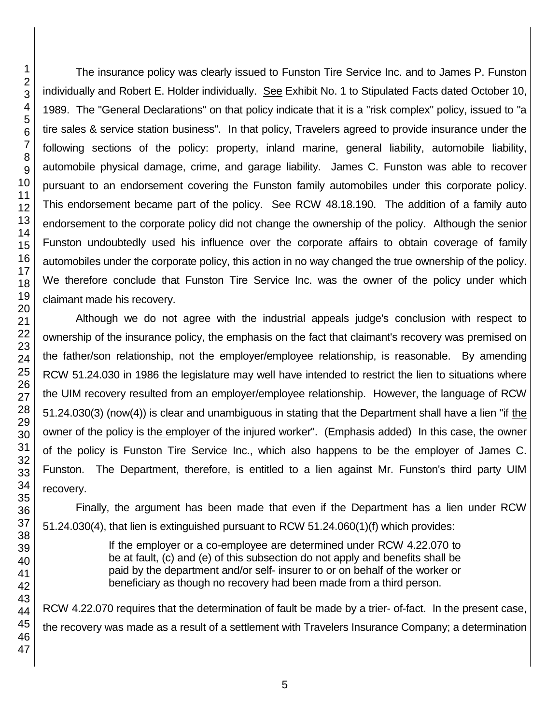The insurance policy was clearly issued to Funston Tire Service Inc. and to James P. Funston individually and Robert E. Holder individually. See Exhibit No. 1 to Stipulated Facts dated October 10, 1989. The "General Declarations" on that policy indicate that it is a "risk complex" policy, issued to "a tire sales & service station business". In that policy, Travelers agreed to provide insurance under the following sections of the policy: property, inland marine, general liability, automobile liability, automobile physical damage, crime, and garage liability. James C. Funston was able to recover pursuant to an endorsement covering the Funston family automobiles under this corporate policy. This endorsement became part of the policy. See RCW 48.18.190. The addition of a family auto endorsement to the corporate policy did not change the ownership of the policy. Although the senior Funston undoubtedly used his influence over the corporate affairs to obtain coverage of family automobiles under the corporate policy, this action in no way changed the true ownership of the policy. We therefore conclude that Funston Tire Service Inc. was the owner of the policy under which claimant made his recovery.

Although we do not agree with the industrial appeals judge's conclusion with respect to ownership of the insurance policy, the emphasis on the fact that claimant's recovery was premised on the father/son relationship, not the employer/employee relationship, is reasonable. By amending RCW 51.24.030 in 1986 the legislature may well have intended to restrict the lien to situations where the UIM recovery resulted from an employer/employee relationship. However, the language of RCW 51.24.030(3) (now(4)) is clear and unambiguous in stating that the Department shall have a lien "if the owner of the policy is the employer of the injured worker". (Emphasis added) In this case, the owner of the policy is Funston Tire Service Inc., which also happens to be the employer of James C. Funston. The Department, therefore, is entitled to a lien against Mr. Funston's third party UIM recovery.

Finally, the argument has been made that even if the Department has a lien under RCW 51.24.030(4), that lien is extinguished pursuant to RCW 51.24.060(1)(f) which provides:

> If the employer or a co-employee are determined under RCW 4.22.070 to be at fault, (c) and (e) of this subsection do not apply and benefits shall be paid by the department and/or self- insurer to or on behalf of the worker or beneficiary as though no recovery had been made from a third person.

RCW 4.22.070 requires that the determination of fault be made by a trier- of-fact. In the present case, the recovery was made as a result of a settlement with Travelers Insurance Company; a determination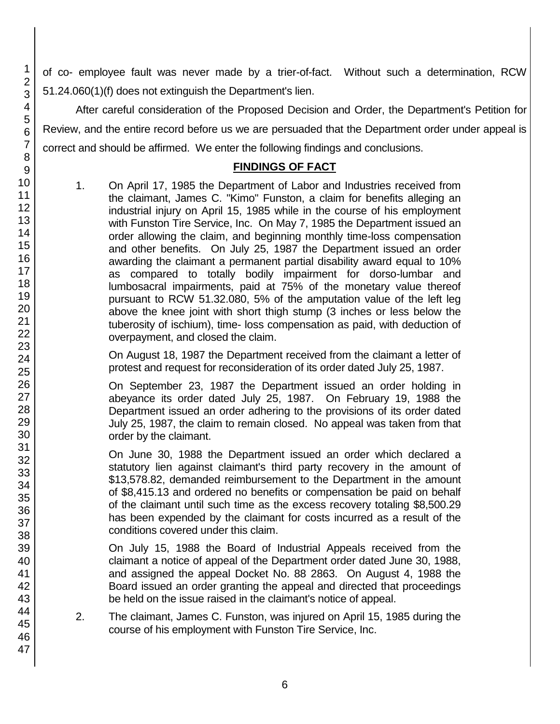of co- employee fault was never made by a trier-of-fact. Without such a determination, RCW 51.24.060(1)(f) does not extinguish the Department's lien.

After careful consideration of the Proposed Decision and Order, the Department's Petition for Review, and the entire record before us we are persuaded that the Department order under appeal is correct and should be affirmed. We enter the following findings and conclusions.

## **FINDINGS OF FACT**

1. On April 17, 1985 the Department of Labor and Industries received from the claimant, James C. "Kimo" Funston, a claim for benefits alleging an industrial injury on April 15, 1985 while in the course of his employment with Funston Tire Service, Inc. On May 7, 1985 the Department issued an order allowing the claim, and beginning monthly time-loss compensation and other benefits. On July 25, 1987 the Department issued an order awarding the claimant a permanent partial disability award equal to 10% as compared to totally bodily impairment for dorso-lumbar and lumbosacral impairments, paid at 75% of the monetary value thereof pursuant to RCW 51.32.080, 5% of the amputation value of the left leg above the knee joint with short thigh stump (3 inches or less below the tuberosity of ischium), time- loss compensation as paid, with deduction of overpayment, and closed the claim.

On August 18, 1987 the Department received from the claimant a letter of protest and request for reconsideration of its order dated July 25, 1987.

On September 23, 1987 the Department issued an order holding in abeyance its order dated July 25, 1987. On February 19, 1988 the Department issued an order adhering to the provisions of its order dated July 25, 1987, the claim to remain closed. No appeal was taken from that order by the claimant.

On June 30, 1988 the Department issued an order which declared a statutory lien against claimant's third party recovery in the amount of \$13,578.82, demanded reimbursement to the Department in the amount of \$8,415.13 and ordered no benefits or compensation be paid on behalf of the claimant until such time as the excess recovery totaling \$8,500.29 has been expended by the claimant for costs incurred as a result of the conditions covered under this claim.

On July 15, 1988 the Board of Industrial Appeals received from the claimant a notice of appeal of the Department order dated June 30, 1988, and assigned the appeal Docket No. 88 2863. On August 4, 1988 the Board issued an order granting the appeal and directed that proceedings be held on the issue raised in the claimant's notice of appeal.

2. The claimant, James C. Funston, was injured on April 15, 1985 during the course of his employment with Funston Tire Service, Inc.